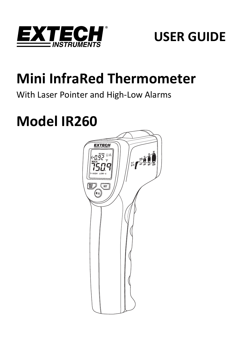



# **Mini InfraRed Thermometer**

# With Laser Pointer and High‐Low Alarms

# **Model IR260**

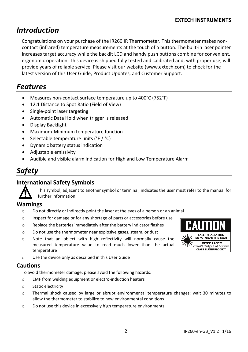# *Introduction*

Congratulations on your purchase of the IR260 IR Thermometer. This thermometer makes non‐ contact (infrared) temperature measurements at the touch of a button. The built-in laser pointer increases target accuracy while the backlit LCD and handy push buttons combine for convenient, ergonomic operation. This device is shipped fully tested and calibrated and, with proper use, will provide years of reliable service. Please visit our website (www.extech.com) to check for the latest version of this User Guide, Product Updates, and Customer Support.

# *Features*

- Measures non‐contact surface temperature up to 400°C (752°F)
- 12:1 Distance to Spot Ratio (Field of View)
- Single‐point laser targeting
- Automatic Data Hold when trigger is released
- Display Backlight
- Maximum‐Minimum temperature function
- Selectable temperature units (°F / °C)
- Dynamic battery status indication
- Adjustable emissivity
- Audible and visible alarm indication for High and Low Temperature Alarm

# *Safety*

## **International Safety Symbols**



This symbol, adjacent to another symbol or terminal, indicates the user must refer to the manual for further information

#### **Warnings**

- $\circ$  Do not directly or indirectly point the laser at the eyes of a person or an animal
- o Inspect for damage or for any shortage of parts or accessories before use
- o Replace the batteries immediately after the battery indicator flashes
- o Do not use the thermometer near explosive gases, steam, or dust
- o Note that an object with high reflectivity will normally cause the measured temperature value to read much lower than the actual temperature
- o Use the device only as described in this User Guide

#### **Cautions**

To avoid thermometer damage, please avoid the following hazards:

- o EMF from welding equipment or electro‐induction heaters
- o Static electricity
- o Thermal shock caused by large or abrupt environmental temperature changes; wait 30 minutes to allow the thermometer to stabilize to new environmental conditions
- $\circ$  Do not use this device in excessively high temperature environments

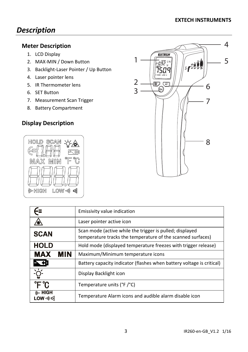# *Description*

# **Meter Description**

- 1. LCD Display
- 2. MAX‐MIN / Down Button
- 3. Backlight‐Laser Pointer / Up Button
- 4. Laser pointer lens
- 5. IR Thermometer lens
- 6. SET Button
- 7. Measurement Scan Trigger
- 8. Battery Compartment

# **Display Description**





|                                         | Emissivity value indication                                                                                             |
|-----------------------------------------|-------------------------------------------------------------------------------------------------------------------------|
|                                         | Laser pointer active icon                                                                                               |
| <b>SCAN</b>                             | Scan mode (active while the trigger is pulled; displayed<br>temperature tracks the temperature of the scanned surfaces) |
| <b>HOLD</b>                             | Hold mode (displayed temperature freezes with trigger release)                                                          |
| <b>MAX</b><br><b>MIN</b>                | Maximum/Minimum temperature icons                                                                                       |
| 下                                       | Battery capacity indicator (flashes when battery voltage is critical)                                                   |
| `ġ́                                     | Display Backlight icon                                                                                                  |
| °F °C                                   | Temperature units (°F/°C)                                                                                               |
| <b>(I<sub>G</sub></b> HIGH<br>LOW ·›) ๔ | Temperature Alarm icons and audible alarm disable icon                                                                  |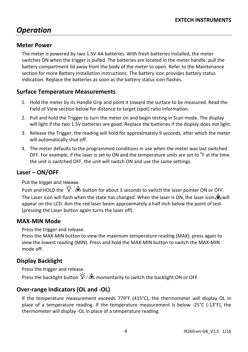# *Operation*

## **Meter Power**

The meter is powered by two 1.5V AA batteries. With fresh batteries installed, the meter switches ON when the trigger is pulled. The batteries are located in the meter handle; pull the battery compartment lid away from the body of the meter to open. Refer to the Maintenance section for more Battery Installation instructions. The battery icon provides battery status indication. Replace the batteries as soon as the battery status icon flashes.

### **Surface Temperature Measurements**

- 1. Hold the meter by its Handle Grip and point it toward the surface to be measured. Read the Field of View section below for distance to target (spot) ratio information.
- 2. Pull and hold the Trigger to turn the meter on and begin testing in Scan mode. The display will light if the two 1.5V batteries are good. Replace the batteries if the display does not light.
- 3. Release the Trigger; the reading will hold for approximately 9 seconds, after which the meter will automatically shut off.
- 4. The meter defaults to the programmed conditions in use when the meter was last switched OFF. For example, if the laser is set to ON and the temperature units are set to  ${}^{0}$ F at the time the unit is switched OFF, the unit will switch ON and use the same settings.

#### **Laser – ON/OFF**

Pull the trigger and release.

Push and HOLD the  $\frac{1}{2}$   $\frac{1}{2}$  button for about 3 seconds to switch the laser pointer ON or OFF. The Laser icon will flash when the state has changed. When the laser is ON, the laser icon  $\triangle$  will appear on the LCD. Aim the red laser beam approximately a half inch below the point of test (pressing the Laser button again turns the laser off).

#### **MAX‐MIN Mode**

Press the trigger and release.

Press the MAX‐MIN button to view the maximum temperature reading (MAX), press again to view the lowest reading (MIN). Press and hold the MAX‐MIN button to switch the MAX‐MIN mode off.

## **Display Backlight**

Press the trigger and release. Press the backlight button  $\mathcal{Q}^2/\mathbb{A}$  momentarily to switch the backlight ON or OFF.

## **Over‐range Indicators (OL and ‐OL)**

If the temperature measurement exceeds 779°F (415°C), the thermometer will display OL in place of a temperature reading. If the temperature measurement is below ‐25°C (‐13°F), the thermometer will display ‐OL in place of a temperature reading.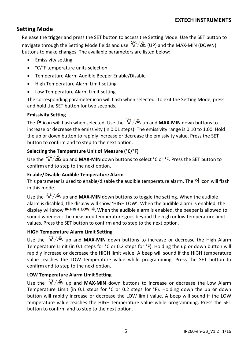# **Setting Mode**

Release the trigger and press the SET button to access the Setting Mode. Use the SET button to navigate through the Setting Mode fields and use  $\hat{Q}^2/\hat{A}$  (UP) and the MAX-MIN (DOWN) buttons to make changes. The available parameters are listed below:

- **•** Emissivity setting
- °C/°F temperature units selection
- Temperature Alarm Audible Beeper Enable/Disable
- High Temperature Alarm Limit setting
- Low Temperature Alarm Limit setting

The corresponding parameter icon will flash when selected. To exit the Setting Mode, press and hold the SET button for two seconds.

#### **Emissivity Setting**

The  $\epsilon$  icon will flash when selected. Use the  $\hat{Q}^2/\hat{R}$  up and **MAX-MIN** down buttons to increase or decrease the emissivity (in 0.01 steps). The emissivity range is 0.10 to 1.00. Hold the up or down button to rapidly increase or decrease the emissivity value. Press the SET button to confirm and to step to the next option.

#### **Selecting the Temperature Unit of Measure (°C/°F)**

Use the  $\frac{1}{2}$  ∴ $\hat{Q}$  up and **MAX-MIN** down buttons to select °C or °F. Press the SET button to confirm and to step to the next option.

#### **Enable/Disable Audible Temperature Alarm**

This parameter is used to enable/disable the audible temperature alarm. The  $\mathbb{R}$  icon will flash in this mode.

Use the  $\frac{1}{2}$ /  $\rightarrow$  up and **MAX-MIN** down buttons to toggle the setting. When the audible alarm is disabled, the display will show 'HIGH LOW'. When the audible alarm is enabled, the display will show  $\mu$ - HIGH LOW  $\dot{\mathcal{W}}$ . When the audible alarm is enabled, the beeper is allowed to sound whenever the measured temperature goes beyond the high or low temperature limit values. Press the SET button to confirm and to step to the next option.

#### **HIGH Temperature Alarm Limit Setting**

Use the  $\frac{1}{2}$   $\frac{1}{2}$  up and **MAX-MIN** down buttons to increase or decrease the High Alarm Temperature Limit (in 0.1 steps for °C or 0.2 steps for °F). Holding the up or down button will rapidly increase or decrease the HIGH limit value. A beep will sound if the HIGH temperature value reaches the LOW temperature value while programming. Press the SET button to confirm and to step to the next option.

#### **LOW Temperature Alarm Limit Setting**

Use the  $\frac{1}{2}$   $\frac{1}{2}$   $\frac{1}{2}$  up and **MAX-MIN** down buttons to increase or decrease the Low Alarm Temperature Limit (in 0.1 steps for °C or 0.2 steps for °F). Holding down the up or down button will rapidly increase or decrease the LOW limit value. A beep will sound if the LOW temperature value reaches the HIGH temperature value while programming. Press the SET button to confirm and to step to the next option.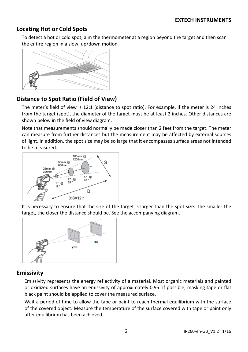## **Locating Hot or Cold Spots**

To detect a hot or cold spot, aim the thermometer at a region beyond the target and then scan the entire region in a slow, up/down motion.



## **Distance to Spot Ratio (Field of View)**

The meter's field of view is 12:1 (distance to spot ratio). For example, if the meter is 24 inches from the target (spot), the diameter of the target must be at least 2 inches. Other distances are shown below in the field of view diagram.

Note that measurements should normally be made closer than 2 feet from the target. The meter can measure from further distances but the measurement may be affected by external sources of light. In addition, the spot size may be so large that it encompasses surface areas not intended to be measured.



It is necessary to ensure that the size of the target is larger than the spot size. The smaller the target, the closer the distance should be. See the accompanying diagram.



## **Emissivity**

Emissivity represents the energy reflectivity of a material. Most organic materials and painted or oxidized surfaces have an emissivity of approximately 0.95. If possible, masking tape or flat black paint should be applied to cover the measured surface.

Wait a period of time to allow the tape or paint to reach thermal equilibrium with the surface of the covered object. Measure the temperature of the surface covered with tape or paint only after equilibrium has been achieved.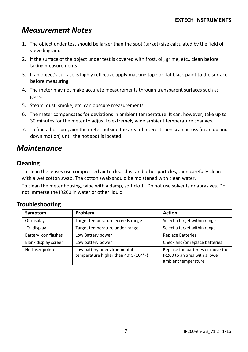# *Measurement Notes*

- 1. The object under test should be larger than the spot (target) size calculated by the field of view diagram.
- 2. If the surface of the object under test is covered with frost, oil, grime, etc., clean before taking measurements.
- 3. If an object's surface is highly reflective apply masking tape or flat black paint to the surface before measuring.
- 4. The meter may not make accurate measurements through transparent surfaces such as glass.
- 5. Steam, dust, smoke, etc. can obscure measurements.
- 6. The meter compensates for deviations in ambient temperature. It can, however, take up to 30 minutes for the meter to adjust to extremely wide ambient temperature changes.
- 7. To find a hot spot, aim the meter outside the area of interest then scan across (in an up and down motion) until the hot spot is located.

# *Maintenance*

## **Cleaning**

To clean the lenses use compressed air to clear dust and other particles, then carefully clean with a wet cotton swab. The cotton swab should be moistened with clean water.

To clean the meter housing, wipe with a damp, soft cloth. Do not use solvents or abrasives. Do not immerse the IR260 in water or other liquid.

## **Troubleshooting**

| Symptom              | Problem                                                              | <b>Action</b>                                                                             |
|----------------------|----------------------------------------------------------------------|-------------------------------------------------------------------------------------------|
| OL display           | Target temperature exceeds range                                     | Select a target within range                                                              |
| -OL display          | Target temperature under-range                                       | Select a target within range                                                              |
| Battery icon flashes | Low Battery power                                                    | <b>Replace Batteries</b>                                                                  |
| Blank display screen | Low battery power                                                    | Check and/or replace batteries                                                            |
| No Laser pointer     | Low battery or environmental<br>temperature higher than 40°C (104°F) | Replace the batteries or move the<br>IR260 to an area with a lower<br>ambient temperature |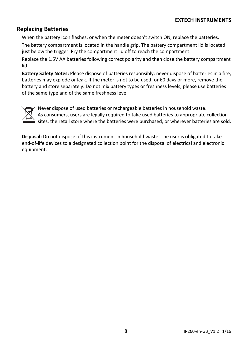### **Replacing Batteries**

When the battery icon flashes, or when the meter doesn't switch ON, replace the batteries. The battery compartment is located in the handle grip. The battery compartment lid is located just below the trigger. Pry the compartment lid off to reach the compartment.

Replace the 1.5V AA batteries following correct polarity and then close the battery compartment lid.

**Battery Safety Notes:** Please dispose of batteries responsibly; never dispose of batteries in a fire, batteries may explode or leak. If the meter is not to be used for 60 days or more, remove the battery and store separately. Do not mix battery types or freshness levels; please use batteries of the same type and of the same freshness level.



Never dispose of used batteries or rechargeable batteries in household waste. As consumers, users are legally required to take used batteries to appropriate collection sites, the retail store where the batteries were purchased, or wherever batteries are sold.

**Disposal:** Do not dispose of this instrument in household waste. The user is obligated to take end‐of‐life devices to a designated collection point for the disposal of electrical and electronic equipment.